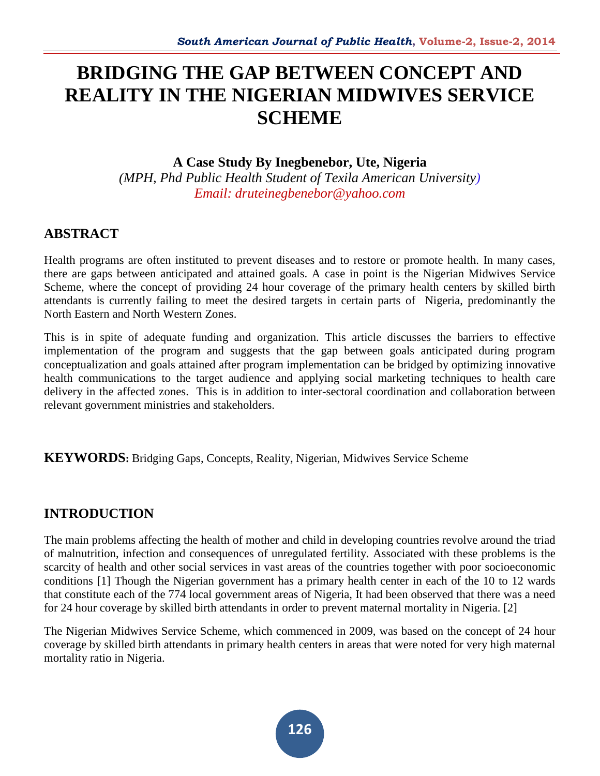# **BRIDGING THE GAP BETWEEN CONCEPT AND REALITY IN THE NIGERIAN MIDWIVES SERVICE SCHEME**

## **A Case Study By Inegbenebor, Ute, Nigeria**

*(MPH, Phd Public Health Student of Texila American University) Email: druteinegbenebor@yahoo.com*

# **ABSTRACT**

Health programs are often instituted to prevent diseases and to restore or promote health. In many cases, there are gaps between anticipated and attained goals. A case in point is the Nigerian Midwives Service Scheme, where the concept of providing 24 hour coverage of the primary health centers by skilled birth attendants is currently failing to meet the desired targets in certain parts of Nigeria, predominantly the North Eastern and North Western Zones.

This is in spite of adequate funding and organization. This article discusses the barriers to effective implementation of the program and suggests that the gap between goals anticipated during program conceptualization and goals attained after program implementation can be bridged by optimizing innovative health communications to the target audience and applying social marketing techniques to health care delivery in the affected zones. This is in addition to inter-sectoral coordination and collaboration between relevant government ministries and stakeholders.

**KEYWORDS:** Bridging Gaps, Concepts, Reality, Nigerian, Midwives Service Scheme

# **INTRODUCTION**

The main problems affecting the health of mother and child in developing countries revolve around the triad of malnutrition, infection and consequences of unregulated fertility. Associated with these problems is the scarcity of health and other social services in vast areas of the countries together with poor socioeconomic conditions [1] Though the Nigerian government has a primary health center in each of the 10 to 12 wards that constitute each of the 774 local government areas of Nigeria, It had been observed that there was a need for 24 hour coverage by skilled birth attendants in order to prevent maternal mortality in Nigeria. [2]

The Nigerian Midwives Service Scheme, which commenced in 2009, was based on the concept of 24 hour coverage by skilled birth attendants in primary health centers in areas that were noted for very high maternal mortality ratio in Nigeria.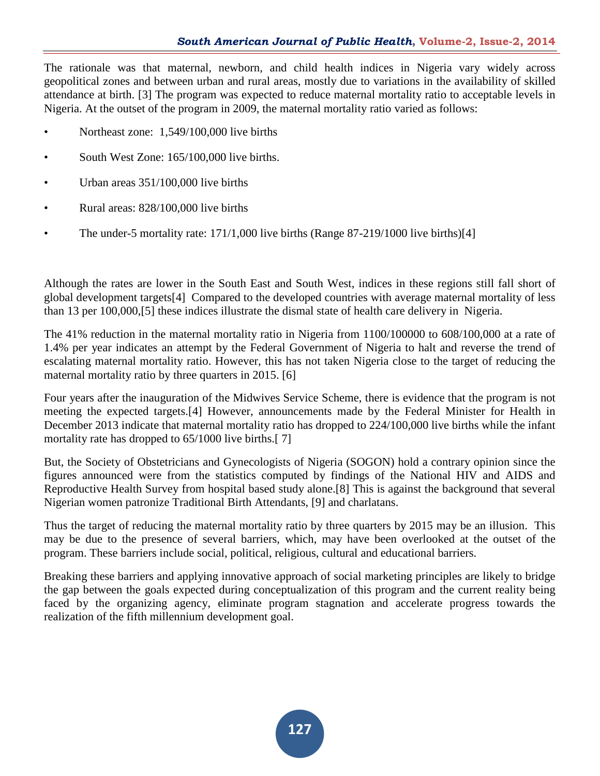The rationale was that maternal, newborn, and child health indices in Nigeria vary widely across geopolitical zones and between urban and rural areas, mostly due to variations in the availability of skilled attendance at birth. [3] The program was expected to reduce maternal mortality ratio to acceptable levels in Nigeria. At the outset of the program in 2009, the maternal mortality ratio varied as follows:

- Northeast zone: 1,549/100,000 live births
- South West Zone: 165/100,000 live births.
- Urban areas  $351/100,000$  live births
- Rural areas: 828/100,000 live births
- The under-5 mortality rate:  $171/1,000$  live births (Range 87-219/1000 live births)[4]

Although the rates are lower in the South East and South West, indices in these regions still fall short of global development targets[4] Compared to the developed countries with average maternal mortality of less than 13 per 100,000,[5] these indices illustrate the dismal state of health care delivery in Nigeria.

The 41% reduction in the maternal mortality ratio in Nigeria from 1100/100000 to 608/100,000 at a rate of 1.4% per year indicates an attempt by the Federal Government of Nigeria to halt and reverse the trend of escalating maternal mortality ratio. However, this has not taken Nigeria close to the target of reducing the maternal mortality ratio by three quarters in 2015. [6]

Four years after the inauguration of the Midwives Service Scheme, there is evidence that the program is not meeting the expected targets.[4] However, announcements made by the Federal Minister for Health in December 2013 indicate that maternal mortality ratio has dropped to 224/100,000 live births while the infant mortality rate has dropped to  $65/1000$  live births.[7]

But, the Society of Obstetricians and Gynecologists of Nigeria (SOGON) hold a contrary opinion since the figures announced were from the statistics computed by findings of the National HIV and AIDS and Reproductive Health Survey from hospital based study alone.[8] This is against the background that several Nigerian women patronize Traditional Birth Attendants, [9] and charlatans.

Thus the target of reducing the maternal mortality ratio by three quarters by 2015 may be an illusion. This may be due to the presence of several barriers, which, may have been overlooked at the outset of the program. These barriers include social, political, religious, cultural and educational barriers.

Breaking these barriers and applying innovative approach of social marketing principles are likely to bridge the gap between the goals expected during conceptualization of this program and the current reality being faced by the organizing agency, eliminate program stagnation and accelerate progress towards the realization of the fifth millennium development goal.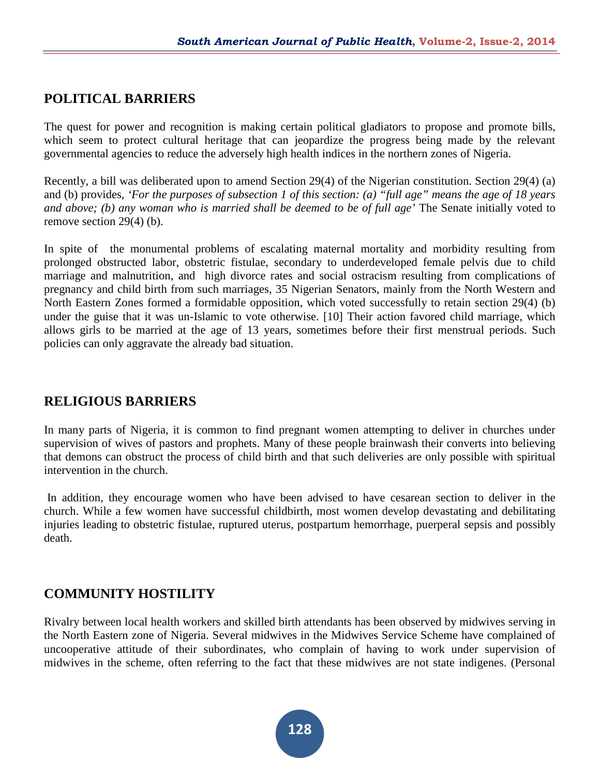## **POLITICAL BARRIERS**

The quest for power and recognition is making certain political gladiators to propose and promote bills, which seem to protect cultural heritage that can jeopardize the progress being made by the relevant governmental agencies to reduce the adversely high health indices in the northern zones of Nigeria.

Recently, a bill was deliberated upon to amend Section 29(4) of the Nigerian constitution. Section 29(4) (a) and (b) provides, *'For the purposes of subsection 1 of this section: (a) "full age" means the age of 18 years and above; (b) any woman who is married shall be deemed to be of full age'* The Senate initially voted to remove section 29(4) (b).

In spite of the monumental problems of escalating maternal mortality and morbidity resulting from prolonged obstructed labor, obstetric fistulae, secondary to underdeveloped female pelvis due to child marriage and malnutrition, and high divorce rates and social ostracism resulting from complications of pregnancy and child birth from such marriages, 35 Nigerian Senators, mainly from the North Western and North Eastern Zones formed a formidable opposition, which voted successfully to retain section 29(4) (b) under the guise that it was un-Islamic to vote otherwise. [10] Their action favored child marriage, which allows girls to be married at the age of 13 years, sometimes before their first menstrual periods. Such policies can only aggravate the already bad situation.

## **RELIGIOUS BARRIERS**

In many parts of Nigeria, it is common to find pregnant women attempting to deliver in churches under supervision of wives of pastors and prophets. Many of these people brainwash their converts into believing that demons can obstruct the process of child birth and that such deliveries are only possible with spiritual intervention in the church.

In addition, they encourage women who have been advised to have cesarean section to deliver in the church. While a few women have successful childbirth, most women develop devastating and debilitating injuries leading to obstetric fistulae, ruptured uterus, postpartum hemorrhage, puerperal sepsis and possibly death.

### **COMMUNITY HOSTILITY**

Rivalry between local health workers and skilled birth attendants has been observed by midwives serving in the North Eastern zone of Nigeria. Several midwives in the Midwives Service Scheme have complained of uncooperative attitude of their subordinates, who complain of having to work under supervision of midwives in the scheme, often referring to the fact that these midwives are not state indigenes. (Personal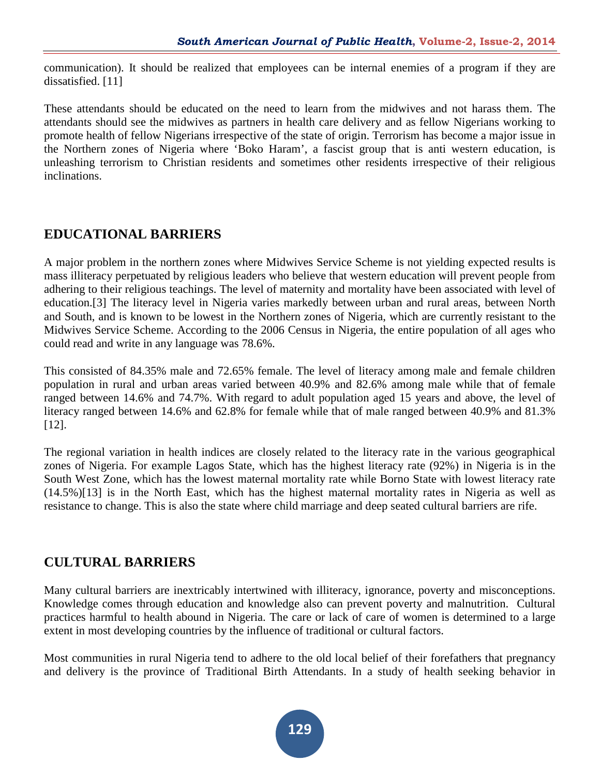communication). It should be realized that employees can be internal enemies of a program if they are dissatisfied. [11]

These attendants should be educated on the need to learn from the midwives and not harass them. The attendants should see the midwives as partners in health care delivery and as fellow Nigerians working to promote health of fellow Nigerians irrespective of the state of origin. Terrorism has become a major issue in the Northern zones of Nigeria where 'Boko Haram', a fascist group that is anti western education, is unleashing terrorism to Christian residents and sometimes other residents irrespective of their religious inclinations.

## **EDUCATIONAL BARRIERS**

A major problem in the northern zones where Midwives Service Scheme is not yielding expected results is mass illiteracy perpetuated by religious leaders who believe that western education will prevent people from adhering to their religious teachings. The level of maternity and mortality have been associated with level of education.[3] The literacy level in Nigeria varies markedly between urban and rural areas, between North and South, and is known to be lowest in the Northern zones of Nigeria, which are currently resistant to the Midwives Service Scheme. According to the 2006 Census in Nigeria, the entire population of all ages who could read and write in any language was 78.6%.

This consisted of 84.35% male and 72.65% female. The level of literacy among male and female children population in rural and urban areas varied between 40.9% and 82.6% among male while that of female ranged between 14.6% and 74.7%. With regard to adult population aged 15 years and above, the level of literacy ranged between 14.6% and 62.8% for female while that of male ranged between 40.9% and 81.3% [12].

The regional variation in health indices are closely related to the literacy rate in the various geographical zones of Nigeria. For example Lagos State, which has the highest literacy rate (92%) in Nigeria is in the South West Zone, which has the lowest maternal mortality rate while Borno State with lowest literacy rate (14.5%)[13] is in the North East, which has the highest maternal mortality rates in Nigeria as well as resistance to change. This is also the state where child marriage and deep seated cultural barriers are rife.

# **CULTURAL BARRIERS**

Many cultural barriers are inextricably intertwined with illiteracy, ignorance, poverty and misconceptions. Knowledge comes through education and knowledge also can prevent poverty and malnutrition. Cultural practices harmful to health abound in Nigeria. The care or lack of care of women is determined to a large extent in most developing countries by the influence of traditional or cultural factors.

Most communities in rural Nigeria tend to adhere to the old local belief of their forefathers that pregnancy and delivery is the province of Traditional Birth Attendants. In a study of health seeking behavior in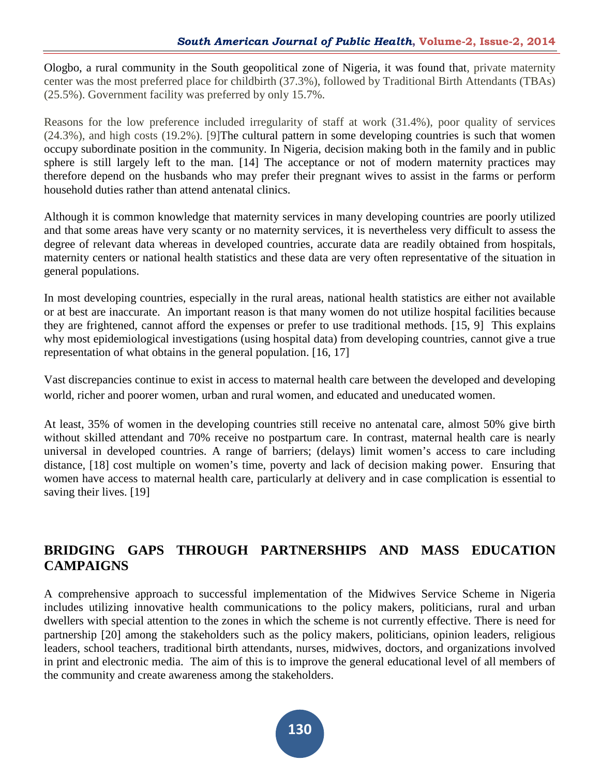Ologbo, a rural community in the South geopolitical zone of Nigeria, it was found that, private maternity center was the most preferred place for childbirth (37.3%), followed by Traditional Birth Attendants (TBAs) (25.5%). Government facility was preferred by only 15.7%.

Reasons for the low preference included irregularity of staff at work (31.4%), poor quality of services (24.3%), and high costs (19.2%). [9]The cultural pattern in some developing countries is such that women occupy subordinate position in the community. In Nigeria, decision making both in the family and in public sphere is still largely left to the man. [14] The acceptance or not of modern maternity practices may therefore depend on the husbands who may prefer their pregnant wives to assist in the farms or perform household duties rather than attend antenatal clinics.

Although it is common knowledge that maternity services in many developing countries are poorly utilized and that some areas have very scanty or no maternity services, it is nevertheless very difficult to assess the degree of relevant data whereas in developed countries, accurate data are readily obtained from hospitals, maternity centers or national health statistics and these data are very often representative of the situation in general populations.

In most developing countries, especially in the rural areas, national health statistics are either not available or at best are inaccurate. An important reason is that many women do not utilize hospital facilities because they are frightened, cannot afford the expenses or prefer to use traditional methods. [15, 9] This explains why most epidemiological investigations (using hospital data) from developing countries, cannot give a true representation of what obtains in the general population. [16, 17]

Vast discrepancies continue to exist in access to maternal health care between the developed and developing world, richer and poorer women, urban and rural women, and educated and uneducated women.

At least, 35% of women in the developing countries still receive no antenatal care, almost 50% give birth without skilled attendant and 70% receive no postpartum care. In contrast, maternal health care is nearly universal in developed countries. A range of barriers; (delays) limit women's access to care including distance, [18] cost multiple on women's time, poverty and lack of decision making power. Ensuring that women have access to maternal health care, particularly at delivery and in case complication is essential to saving their lives. [19]

# **BRIDGING GAPS THROUGH PARTNERSHIPS AND MASS EDUCATION CAMPAIGNS**

A comprehensive approach to successful implementation of the Midwives Service Scheme in Nigeria includes utilizing innovative health communications to the policy makers, politicians, rural and urban dwellers with special attention to the zones in which the scheme is not currently effective. There is need for partnership [20] among the stakeholders such as the policy makers, politicians, opinion leaders, religious leaders, school teachers, traditional birth attendants, nurses, midwives, doctors, and organizations involved in print and electronic media. The aim of this is to improve the general educational level of all members of the community and create awareness among the stakeholders.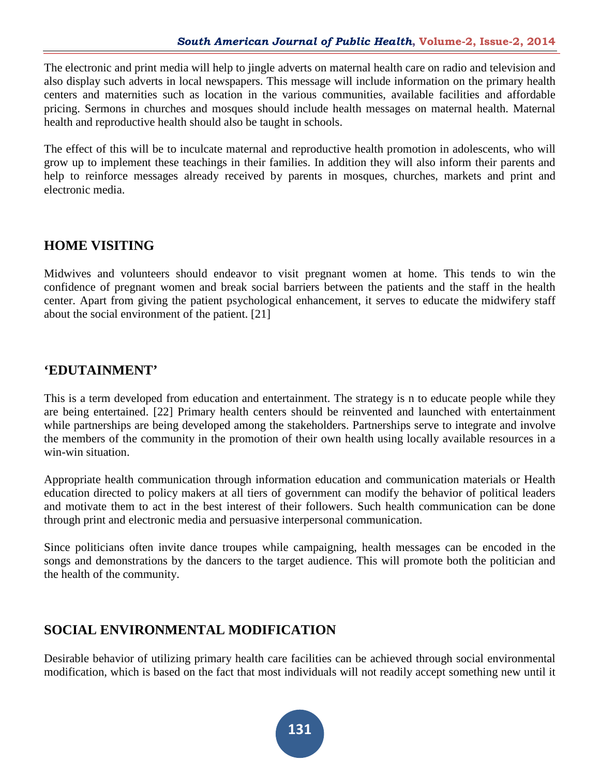The electronic and print media will help to jingle adverts on maternal health care on radio and television and also display such adverts in local newspapers. This message will include information on the primary health centers and maternities such as location in the various communities, available facilities and affordable pricing. Sermons in churches and mosques should include health messages on maternal health. Maternal health and reproductive health should also be taught in schools.

The effect of this will be to inculcate maternal and reproductive health promotion in adolescents, who will grow up to implement these teachings in their families. In addition they will also inform their parents and help to reinforce messages already received by parents in mosques, churches, markets and print and electronic media.

## **HOME VISITING**

Midwives and volunteers should endeavor to visit pregnant women at home. This tends to win the confidence of pregnant women and break social barriers between the patients and the staff in the health center. Apart from giving the patient psychological enhancement, it serves to educate the midwifery staff about the social environment of the patient. [21]

### **'EDUTAINMENT'**

This is a term developed from education and entertainment. The strategy is n to educate people while they are being entertained. [22] Primary health centers should be reinvented and launched with entertainment while partnerships are being developed among the stakeholders. Partnerships serve to integrate and involve the members of the community in the promotion of their own health using locally available resources in a win-win situation.

Appropriate health communication through information education and communication materials or Health education directed to policy makers at all tiers of government can modify the behavior of political leaders and motivate them to act in the best interest of their followers. Such health communication can be done through print and electronic media and persuasive interpersonal communication.

Since politicians often invite dance troupes while campaigning, health messages can be encoded in the songs and demonstrations by the dancers to the target audience. This will promote both the politician and the health of the community.

### **SOCIAL ENVIRONMENTAL MODIFICATION**

Desirable behavior of utilizing primary health care facilities can be achieved through social environmental modification, which is based on the fact that most individuals will not readily accept something new until it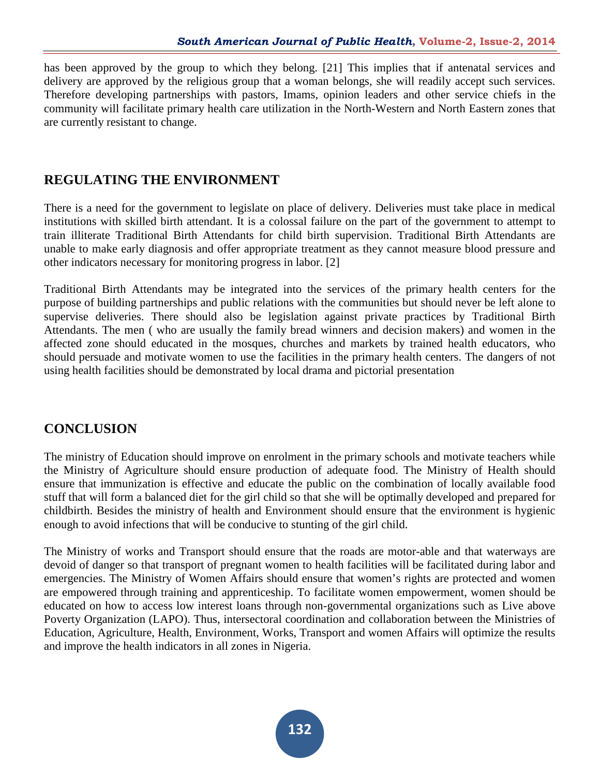has been approved by the group to which they belong. [21] This implies that if antenatal services and delivery are approved by the religious group that a woman belongs, she will readily accept such services. Therefore developing partnerships with pastors, Imams, opinion leaders and other service chiefs in the community will facilitate primary health care utilization in the North-Western and North Eastern zones that are currently resistant to change.

## **REGULATING THE ENVIRONMENT**

There is a need for the government to legislate on place of delivery. Deliveries must take place in medical institutions with skilled birth attendant. It is a colossal failure on the part of the government to attempt to train illiterate Traditional Birth Attendants for child birth supervision. Traditional Birth Attendants are unable to make early diagnosis and offer appropriate treatment as they cannot measure blood pressure and other indicators necessary for monitoring progress in labor. [2]

Traditional Birth Attendants may be integrated into the services of the primary health centers for the purpose of building partnerships and public relations with the communities but should never be left alone to supervise deliveries. There should also be legislation against private practices by Traditional Birth Attendants. The men ( who are usually the family bread winners and decision makers) and women in the affected zone should educated in the mosques, churches and markets by trained health educators, who should persuade and motivate women to use the facilities in the primary health centers. The dangers of not using health facilities should be demonstrated by local drama and pictorial presentation

### **CONCLUSION**

The ministry of Education should improve on enrolment in the primary schools and motivate teachers while the Ministry of Agriculture should ensure production of adequate food. The Ministry of Health should ensure that immunization is effective and educate the public on the combination of locally available food stuff that will form a balanced diet for the girl child so that she will be optimally developed and prepared for childbirth. Besides the ministry of health and Environment should ensure that the environment is hygienic enough to avoid infections that will be conducive to stunting of the girl child.

The Ministry of works and Transport should ensure that the roads are motor-able and that waterways are devoid of danger so that transport of pregnant women to health facilities will be facilitated during labor and emergencies. The Ministry of Women Affairs should ensure that women's rights are protected and women are empowered through training and apprenticeship. To facilitate women empowerment, women should be educated on how to access low interest loans through non-governmental organizations such as Live above Poverty Organization (LAPO). Thus, intersectoral coordination and collaboration between the Ministries of Education, Agriculture, Health, Environment, Works, Transport and women Affairs will optimize the results and improve the health indicators in all zones in Nigeria.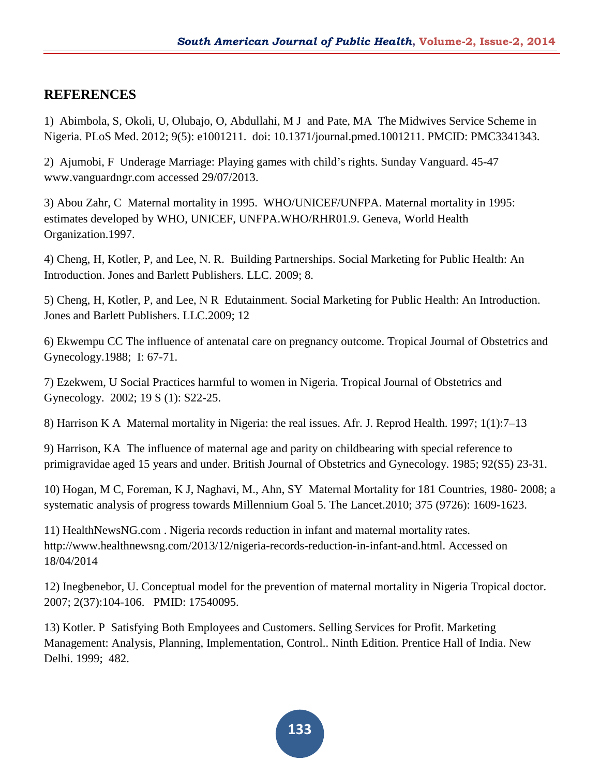## **REFERENCES**

1) Abimbola, S, Okoli, U, Olubajo, O, Abdullahi, M J and Pate, MA The Midwives Service Scheme in Nigeria. PLoS Med. 2012; 9(5): e1001211. doi: 10.1371/journal.pmed.1001211. PMCID: PMC3341343.

2) Ajumobi, F Underage Marriage: Playing games with child's rights. Sunday Vanguard. 45-47 www.vanguardngr.com accessed 29/07/2013.

3) Abou Zahr, C Maternal mortality in 1995. WHO/UNICEF/UNFPA. Maternal mortality in 1995: estimates developed by WHO, UNICEF, UNFPA.WHO/RHR01.9. Geneva, World Health Organization.1997.

4) Cheng, H, Kotler, P, and Lee, N. R. Building Partnerships. Social Marketing for Public Health: An Introduction. Jones and Barlett Publishers. LLC. 2009; 8.

5) Cheng, H, Kotler, P, and Lee, N R Edutainment. Social Marketing for Public Health: An Introduction. Jones and Barlett Publishers. LLC.2009; 12

6) Ekwempu CC The influence of antenatal care on pregnancy outcome. Tropical Journal of Obstetrics and Gynecology.1988; I: 67-71.

7) Ezekwem, U Social Practices harmful to women in Nigeria. Tropical Journal of Obstetrics and Gynecology. 2002; 19 S (1): S22-25.

8) Harrison K A Maternal mortality in Nigeria: the real issues. Afr. J. Reprod Health. 1997; 1(1):7–13

9) Harrison, KA The influence of maternal age and parity on childbearing with special reference to primigravidae aged 15 years and under. British Journal of Obstetrics and Gynecology. 1985; 92(S5) 23-31.

10) Hogan, M C, Foreman, K J, Naghavi, M., Ahn, SY Maternal Mortality for 181 Countries, 1980- 2008; a systematic analysis of progress towards Millennium Goal 5. The Lancet.2010; 375 (9726): 1609-1623.

11) HealthNewsNG.com . Nigeria records reduction in infant and maternal mortality rates. http://www.healthnewsng.com/2013/12/nigeria-records-reduction-in-infant-and.html. Accessed on 18/04/2014

12) Inegbenebor, U. Conceptual model for the prevention of maternal mortality in Nigeria Tropical doctor. 2007; 2(37):104-106. PMID: 17540095.

13) Kotler. P Satisfying Both Employees and Customers. Selling Services for Profit. Marketing Management: Analysis, Planning, Implementation, Control.. Ninth Edition. Prentice Hall of India. New Delhi. 1999; 482.